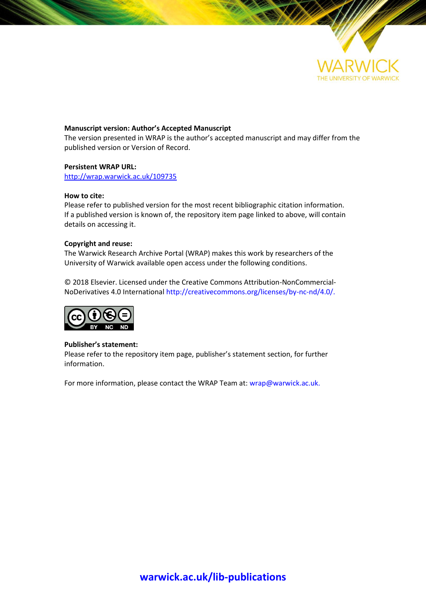

#### **Manuscript version: Author's Accepted Manuscript**

The version presented in WRAP is the author's accepted manuscript and may differ from the published version or Version of Record.

#### **Persistent WRAP URL:**

<http://wrap.warwick.ac.uk/109735>

#### **How to cite:**

Please refer to published version for the most recent bibliographic citation information. If a published version is known of, the repository item page linked to above, will contain details on accessing it.

#### **Copyright and reuse:**

The Warwick Research Archive Portal (WRAP) makes this work by researchers of the University of Warwick available open access under the following conditions.

© 2018 Elsevier. Licensed under the Creative Commons Attribution-NonCommercial-NoDerivatives 4.0 International [http://creativecommons.org/licenses/by-nc-nd/4.0/.](http://creativecommons.org/licenses/by-nc-nd/4.0/)



#### **Publisher's statement:**

Please refer to the repository item page, publisher's statement section, for further information.

For more information, please contact the WRAP Team at[: wrap@warwick.ac.uk.](mailto:wrap@warwick.ac.uk)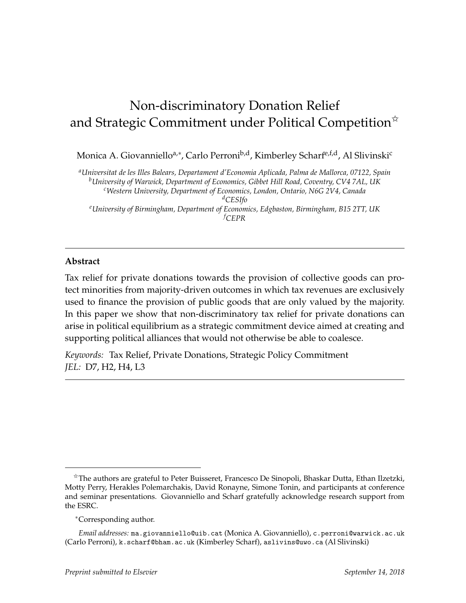# Non-discriminatory Donation Relief and Strategic Commitment under Political Competition<sup>\*</sup>

Monica A. Giovanniello<sup>a,∗</sup>, Carlo Perroni<sup>b,d</sup>, Kimberley Scharf<sup>e,f,d</sup>, Al Slivinski<sup>c</sup>

*<sup>a</sup>Universitat de les Illes Balears, Departament d'Economia Aplicada, Palma de Mallorca, 07122, Spain <sup>b</sup>University of Warwick, Department of Economics, Gibbet Hill Road, Coventry, CV4 7AL, UK <sup>c</sup>Western University, Department of Economics, London, Ontario, N6G 2V4, Canada <sup>d</sup>CESIfo <sup>e</sup>University of Birmingham, Department of Economics, Edgbaston, Birmingham, B15 2TT, UK <sup>f</sup>CEPR*

# **Abstract**

Tax relief for private donations towards the provision of collective goods can protect minorities from majority-driven outcomes in which tax revenues are exclusively used to finance the provision of public goods that are only valued by the majority. In this paper we show that non-discriminatory tax relief for private donations can arise in political equilibrium as a strategic commitment device aimed at creating and supporting political alliances that would not otherwise be able to coalesce.

*Keywords:* Tax Relief, Private Donations, Strategic Policy Commitment *JEL:* D7, H2, H4, L3

<sup>✩</sup>The authors are grateful to Peter Buisseret, Francesco De Sinopoli, Bhaskar Dutta, Ethan Ilzetzki, Motty Perry, Herakles Polemarchakis, David Ronayne, Simone Tonin, and participants at conference and seminar presentations. Giovanniello and Scharf gratefully acknowledge research support from the ESRC.

<sup>∗</sup>Corresponding author.

*Email addresses:* ma.giovanniello@uib.cat (Monica A. Giovanniello), c.perroni@warwick.ac.uk (Carlo Perroni), k.scharf@bham.ac.uk (Kimberley Scharf), aslivins@uwo.ca (Al Slivinski)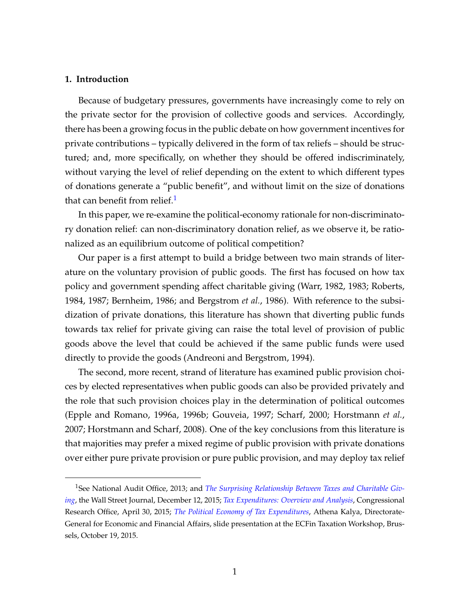# **1. Introduction**

Because of budgetary pressures, governments have increasingly come to rely on the private sector for the provision of collective goods and services. Accordingly, there has been a growing focus in the public debate on how government incentives for private contributions – typically delivered in the form of tax reliefs – should be structured; and, more specifically, on whether they should be offered indiscriminately, without varying the level of relief depending on the extent to which different types of donations generate a "public benefit", and without limit on the size of donations that can benefit from relief.<sup>[1](#page-2-0)</sup>

In this paper, we re-examine the political-economy rationale for non-discriminatory donation relief: can non-discriminatory donation relief, as we observe it, be rationalized as an equilibrium outcome of political competition?

Our paper is a first attempt to build a bridge between two main strands of literature on the voluntary provision of public goods. The first has focused on how tax policy and government spending affect charitable giving (Warr, 1982, 1983; Roberts, 1984, 1987; Bernheim, 1986; and Bergstrom *et al.*, 1986). With reference to the subsidization of private donations, this literature has shown that diverting public funds towards tax relief for private giving can raise the total level of provision of public goods above the level that could be achieved if the same public funds were used directly to provide the goods (Andreoni and Bergstrom, 1994).

The second, more recent, strand of literature has examined public provision choices by elected representatives when public goods can also be provided privately and the role that such provision choices play in the determination of political outcomes (Epple and Romano, 1996a, 1996b; Gouveia, 1997; Scharf, 2000; Horstmann *et al.*, 2007; Horstmann and Scharf, 2008). One of the key conclusions from this literature is that majorities may prefer a mixed regime of public provision with private donations over either pure private provision or pure public provision, and may deploy tax relief

<span id="page-2-0"></span><sup>1</sup>See National Audit Office, 2013; and *[The Surprising Relationship Between Taxes and Charitable Giv](https://www.wsj.com/articles/the-surprising-relationship-between-taxes-and-charitable-giving-1450062191.)[ing](https://www.wsj.com/articles/the-surprising-relationship-between-taxes-and-charitable-giving-1450062191.)*, the Wall Street Journal, December 12, 2015; *[Tax Expenditures: Overview and Analysis](https://fas.org/sgp/crs/misc/R44012.pdf)*, Congressional Research Office, April 30, 2015; *[The Political Economy of Tax Expenditures](http://ec.europa.eu/economy_finance/events/2015/20151019-workshop/documents/7._kalyva_-_tax_expenditures_en.pdf)*, Athena Kalya, Directorate-General for Economic and Financial Affairs, slide presentation at the ECFin Taxation Workshop, Brussels, October 19, 2015.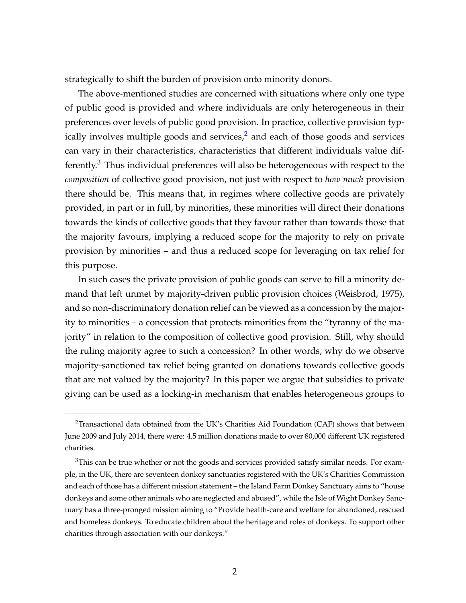strategically to shift the burden of provision onto minority donors.

The above-mentioned studies are concerned with situations where only one type of public good is provided and where individuals are only heterogeneous in their preferences over levels of public good provision. In practice, collective provision typically involves multiple goods and services, $<sup>2</sup>$  $<sup>2</sup>$  $<sup>2</sup>$  and each of those goods and services</sup> can vary in their characteristics, characteristics that different individuals value dif-ferently.<sup>[3](#page-3-1)</sup> Thus individual preferences will also be heterogeneous with respect to the *composition* of collective good provision, not just with respect to *how much* provision there should be. This means that, in regimes where collective goods are privately provided, in part or in full, by minorities, these minorities will direct their donations towards the kinds of collective goods that they favour rather than towards those that the majority favours, implying a reduced scope for the majority to rely on private provision by minorities – and thus a reduced scope for leveraging on tax relief for this purpose.

In such cases the private provision of public goods can serve to fill a minority demand that left unmet by majority-driven public provision choices (Weisbrod, 1975), and so non-discriminatory donation relief can be viewed as a concession by the majority to minorities – a concession that protects minorities from the "tyranny of the majority" in relation to the composition of collective good provision. Still, why should the ruling majority agree to such a concession? In other words, why do we observe majority-sanctioned tax relief being granted on donations towards collective goods that are not valued by the majority? In this paper we argue that subsidies to private giving can be used as a locking-in mechanism that enables heterogeneous groups to

<span id="page-3-0"></span><sup>&</sup>lt;sup>2</sup>Transactional data obtained from the UK's Charities Aid Foundation (CAF) shows that between June 2009 and July 2014, there were: 4.5 million donations made to over 80,000 different UK registered charities.

<span id="page-3-1"></span><sup>&</sup>lt;sup>3</sup>This can be true whether or not the goods and services provided satisfy similar needs. For example, in the UK, there are seventeen donkey sanctuaries registered with the UK's Charities Commission and each of those has a different mission statement – the Island Farm Donkey Sanctuary aims to "house donkeys and some other animals who are neglected and abused", while the Isle of Wight Donkey Sanctuary has a three-pronged mission aiming to "Provide health-care and welfare for abandoned, rescued and homeless donkeys. To educate children about the heritage and roles of donkeys. To support other charities through association with our donkeys."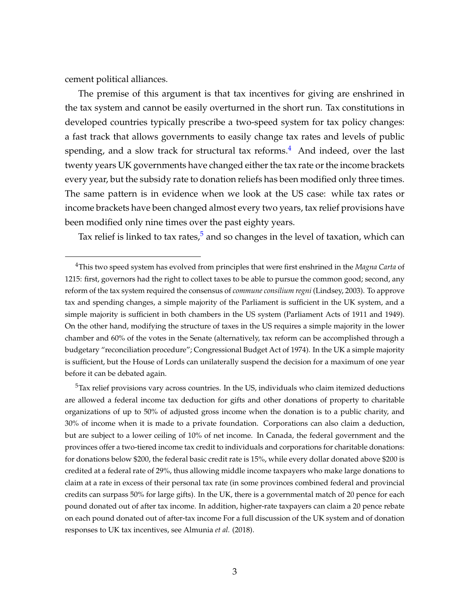cement political alliances.

The premise of this argument is that tax incentives for giving are enshrined in the tax system and cannot be easily overturned in the short run. Tax constitutions in developed countries typically prescribe a two-speed system for tax policy changes: a fast track that allows governments to easily change tax rates and levels of public spending, and a slow track for structural tax reforms.<sup>[4](#page-4-0)</sup> And indeed, over the last twenty years UK governments have changed either the tax rate or the income brackets every year, but the subsidy rate to donation reliefs has been modified only three times. The same pattern is in evidence when we look at the US case: while tax rates or income brackets have been changed almost every two years, tax relief provisions have been modified only nine times over the past eighty years.

Tax relief is linked to tax rates,<sup>[5](#page-4-1)</sup> and so changes in the level of taxation, which can

<span id="page-4-1"></span><sup>5</sup>Tax relief provisions vary across countries. In the US, individuals who claim itemized deductions are allowed a federal income tax deduction for gifts and other donations of property to charitable organizations of up to 50% of adjusted gross income when the donation is to a public charity, and 30% of income when it is made to a private foundation. Corporations can also claim a deduction, but are subject to a lower ceiling of 10% of net income. In Canada, the federal government and the provinces offer a two-tiered income tax credit to individuals and corporations for charitable donations: for donations below \$200, the federal basic credit rate is 15%, while every dollar donated above \$200 is credited at a federal rate of 29%, thus allowing middle income taxpayers who make large donations to claim at a rate in excess of their personal tax rate (in some provinces combined federal and provincial credits can surpass 50% for large gifts). In the UK, there is a governmental match of 20 pence for each pound donated out of after tax income. In addition, higher-rate taxpayers can claim a 20 pence rebate on each pound donated out of after-tax income For a full discussion of the UK system and of donation responses to UK tax incentives, see Almunia *et al.* (2018).

<span id="page-4-0"></span><sup>4</sup>This two speed system has evolved from principles that were first enshrined in the *Magna Carta* of 1215: first, governors had the right to collect taxes to be able to pursue the common good; second, any reform of the tax system required the consensus of *commune consilium regni* (Lindsey, 2003). To approve tax and spending changes, a simple majority of the Parliament is sufficient in the UK system, and a simple majority is sufficient in both chambers in the US system (Parliament Acts of 1911 and 1949). On the other hand, modifying the structure of taxes in the US requires a simple majority in the lower chamber and 60% of the votes in the Senate (alternatively, tax reform can be accomplished through a budgetary "reconciliation procedure"; Congressional Budget Act of 1974). In the UK a simple majority is sufficient, but the House of Lords can unilaterally suspend the decision for a maximum of one year before it can be debated again.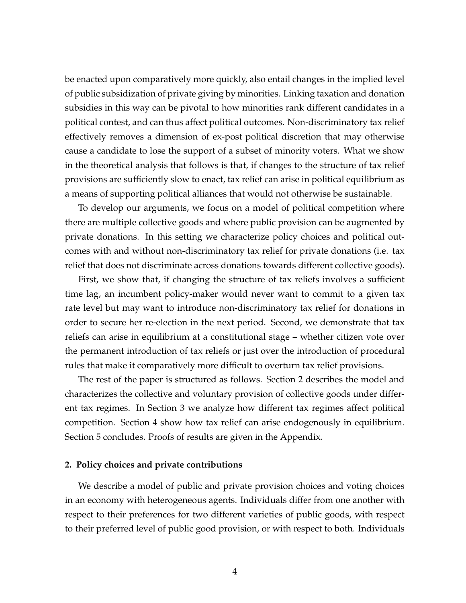be enacted upon comparatively more quickly, also entail changes in the implied level of public subsidization of private giving by minorities. Linking taxation and donation subsidies in this way can be pivotal to how minorities rank different candidates in a political contest, and can thus affect political outcomes. Non-discriminatory tax relief effectively removes a dimension of ex-post political discretion that may otherwise cause a candidate to lose the support of a subset of minority voters. What we show in the theoretical analysis that follows is that, if changes to the structure of tax relief provisions are sufficiently slow to enact, tax relief can arise in political equilibrium as a means of supporting political alliances that would not otherwise be sustainable.

To develop our arguments, we focus on a model of political competition where there are multiple collective goods and where public provision can be augmented by private donations. In this setting we characterize policy choices and political outcomes with and without non-discriminatory tax relief for private donations (i.e. tax relief that does not discriminate across donations towards different collective goods).

First, we show that, if changing the structure of tax reliefs involves a sufficient time lag, an incumbent policy-maker would never want to commit to a given tax rate level but may want to introduce non-discriminatory tax relief for donations in order to secure her re-election in the next period. Second, we demonstrate that tax reliefs can arise in equilibrium at a constitutional stage – whether citizen vote over the permanent introduction of tax reliefs or just over the introduction of procedural rules that make it comparatively more difficult to overturn tax relief provisions.

The rest of the paper is structured as follows. Section 2 describes the model and characterizes the collective and voluntary provision of collective goods under different tax regimes. In Section 3 we analyze how different tax regimes affect political competition. Section 4 show how tax relief can arise endogenously in equilibrium. Section 5 concludes. Proofs of results are given in the Appendix.

#### **2. Policy choices and private contributions**

We describe a model of public and private provision choices and voting choices in an economy with heterogeneous agents. Individuals differ from one another with respect to their preferences for two different varieties of public goods, with respect to their preferred level of public good provision, or with respect to both. Individuals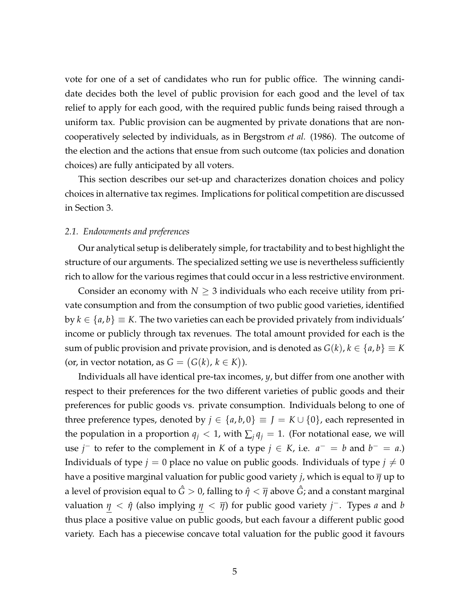vote for one of a set of candidates who run for public office. The winning candidate decides both the level of public provision for each good and the level of tax relief to apply for each good, with the required public funds being raised through a uniform tax. Public provision can be augmented by private donations that are noncooperatively selected by individuals, as in Bergstrom *et al.* (1986). The outcome of the election and the actions that ensue from such outcome (tax policies and donation choices) are fully anticipated by all voters.

This section describes our set-up and characterizes donation choices and policy choices in alternative tax regimes. Implications for political competition are discussed in Section 3.

#### *2.1. Endowments and preferences*

Our analytical setup is deliberately simple, for tractability and to best highlight the structure of our arguments. The specialized setting we use is nevertheless sufficiently rich to allow for the various regimes that could occur in a less restrictive environment.

Consider an economy with  $N \geq 3$  individuals who each receive utility from private consumption and from the consumption of two public good varieties, identified by  $k \in \{a, b\} \equiv K$ . The two varieties can each be provided privately from individuals' income or publicly through tax revenues. The total amount provided for each is the sum of public provision and private provision, and is denoted as  $G(k)$ ,  $k \in \{a, b\} \equiv K$ (or, in vector notation, as  $G = (G(k), k \in K)$ ).

Individuals all have identical pre-tax incomes, *y*, but differ from one another with respect to their preferences for the two different varieties of public goods and their preferences for public goods vs. private consumption. Individuals belong to one of three preference types, denoted by  $j \in \{a, b, 0\} \equiv J = K \cup \{0\}$ , each represented in the population in a proportion  $q_j < 1$ , with  $\sum_j q_j = 1$ . (For notational ease, we will use *j* − to refer to the complement in *K* of a type *j*  $\in$  *K*, i.e.  $a^- = b$  and  $b^- = a$ .) Individuals of type  $j = 0$  place no value on public goods. Individuals of type  $j \neq 0$ have a positive marginal valuation for public good variety *j*, which is equal to *η* up to a level of provision equal to  $\hat{G} > 0$ , falling to  $\hat{\eta} < \overline{\eta}$  above  $\hat{G}$ ; and a constant marginal valuation  $\eta < \hat{\eta}$  (also implying  $\eta < \overline{\eta}$ ) for public good variety *j*<sup>-</sup>. Types *a* and *b* thus place a positive value on public goods, but each favour a different public good variety. Each has a piecewise concave total valuation for the public good it favours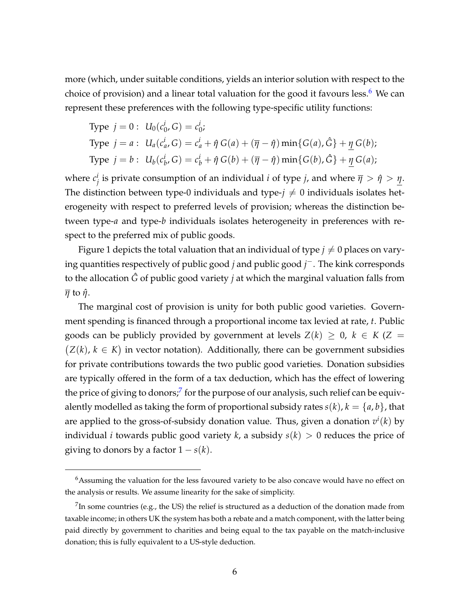more (which, under suitable conditions, yields an interior solution with respect to the choice of provision) and a linear total valuation for the good it favours less.<sup>[6](#page-7-0)</sup> We can represent these preferences with the following type-specific utility functions:

Type 
$$
j = 0
$$
:  $U_0(c_0^i, G) = c_0^i$ ;  
\nType  $j = a$ :  $U_a(c_a^i, G) = c_a^i + \hat{\eta} G(a) + (\overline{\eta} - \hat{\eta}) \min\{G(a), \hat{G}\} + \underline{\eta} G(b)$ ;  
\nType  $j = b$ :  $U_b(c_b^i, G) = c_b^i + \hat{\eta} G(b) + (\overline{\eta} - \hat{\eta}) \min\{G(b), \hat{G}\} + \underline{\eta} G(a)$ ;

where  $c_i^i$ *i*<sub>j</sub> is private consumption of an individual *i* of type *j*, and where  $\overline{\eta} > \hat{\eta} > \underline{\eta}$ . The distinction between type-0 individuals and type- $j \neq 0$  individuals isolates heterogeneity with respect to preferred levels of provision; whereas the distinction between type-*a* and type-*b* individuals isolates heterogeneity in preferences with respect to the preferred mix of public goods.

Figure 1 depicts the total valuation that an individual of type  $j \neq 0$  places on varying quantities respectively of public good *j* and public good *j* <sup>−</sup>. The kink corresponds to the allocation *G*ˆ of public good variety *j* at which the marginal valuation falls from *η* to *η*ˆ.

The marginal cost of provision is unity for both public good varieties. Government spending is financed through a proportional income tax levied at rate, *t*. Public goods can be publicly provided by government at levels  $Z(k) \geq 0$ ,  $k \in K(Z = 1)$  $(Z(k), k \in K)$  in vector notation). Additionally, there can be government subsidies for private contributions towards the two public good varieties. Donation subsidies are typically offered in the form of a tax deduction, which has the effect of lowering the price of giving to donors;<sup>[7](#page-7-1)</sup> for the purpose of our analysis, such relief can be equivalently modelled as taking the form of proportional subsidy rates  $s(k)$ ,  $k = \{a, b\}$ , that are applied to the gross-of-subsidy donation value. Thus, given a donation *v i* (*k*) by individual *i* towards public good variety *k*, a subsidy  $s(k) > 0$  reduces the price of giving to donors by a factor  $1 - s(k)$ .

<span id="page-7-0"></span><sup>&</sup>lt;sup>6</sup>Assuming the valuation for the less favoured variety to be also concave would have no effect on the analysis or results. We assume linearity for the sake of simplicity.

<span id="page-7-1"></span><sup>&</sup>lt;sup>7</sup>In some countries (e.g., the US) the relief is structured as a deduction of the donation made from taxable income; in others UK the system has both a rebate and a match component, with the latter being paid directly by government to charities and being equal to the tax payable on the match-inclusive donation; this is fully equivalent to a US-style deduction.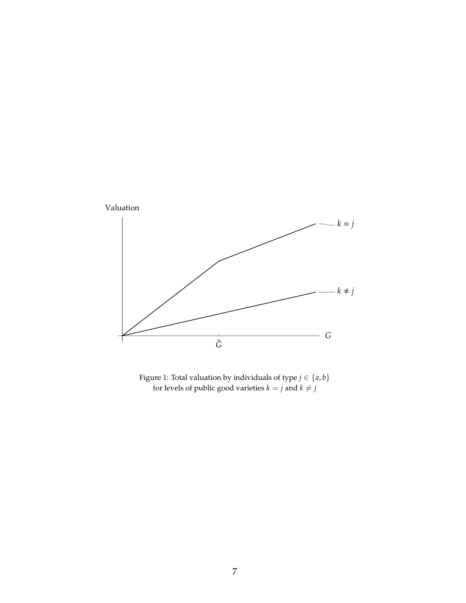

Figure 1: Total valuation by individuals of type  $j \in \{a, b\}$ for levels of public good varieties  $k = j$  and  $k \neq j$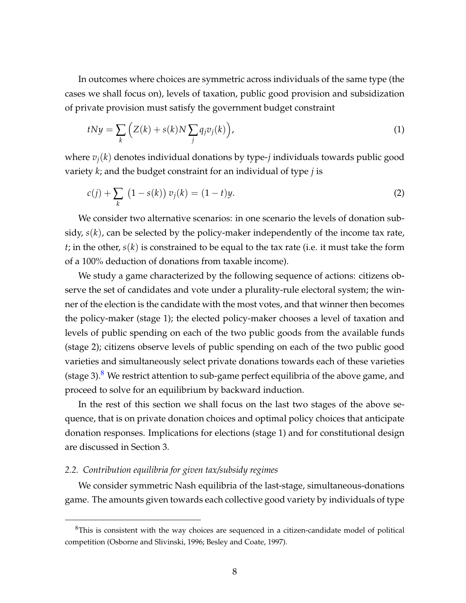In outcomes where choices are symmetric across individuals of the same type (the cases we shall focus on), levels of taxation, public good provision and subsidization of private provision must satisfy the government budget constraint

$$
tNy = \sum_{k} \left( Z(k) + s(k)N \sum_{j} q_j v_j(k) \right), \tag{1}
$$

where  $v_i(k)$  denotes individual donations by type-*j* individuals towards public good variety *k*; and the budget constraint for an individual of type *j* is

$$
c(j) + \sum_{k} (1 - s(k)) v_j(k) = (1 - t)y.
$$
 (2)

We consider two alternative scenarios: in one scenario the levels of donation subsidy, *s*(*k*), can be selected by the policy-maker independently of the income tax rate, *t*; in the other, *s*(*k*) is constrained to be equal to the tax rate (i.e. it must take the form of a 100% deduction of donations from taxable income).

We study a game characterized by the following sequence of actions: citizens observe the set of candidates and vote under a plurality-rule electoral system; the winner of the election is the candidate with the most votes, and that winner then becomes the policy-maker (stage 1); the elected policy-maker chooses a level of taxation and levels of public spending on each of the two public goods from the available funds (stage 2); citizens observe levels of public spending on each of the two public good varieties and simultaneously select private donations towards each of these varieties (stage 3).<sup>[8](#page-9-0)</sup> We restrict attention to sub-game perfect equilibria of the above game, and proceed to solve for an equilibrium by backward induction.

In the rest of this section we shall focus on the last two stages of the above sequence, that is on private donation choices and optimal policy choices that anticipate donation responses. Implications for elections (stage 1) and for constitutional design are discussed in Section 3.

#### *2.2. Contribution equilibria for given tax/subsidy regimes*

We consider symmetric Nash equilibria of the last-stage, simultaneous-donations game. The amounts given towards each collective good variety by individuals of type

<span id="page-9-0"></span><sup>8</sup>This is consistent with the way choices are sequenced in a citizen-candidate model of political competition (Osborne and Slivinski, 1996; Besley and Coate, 1997).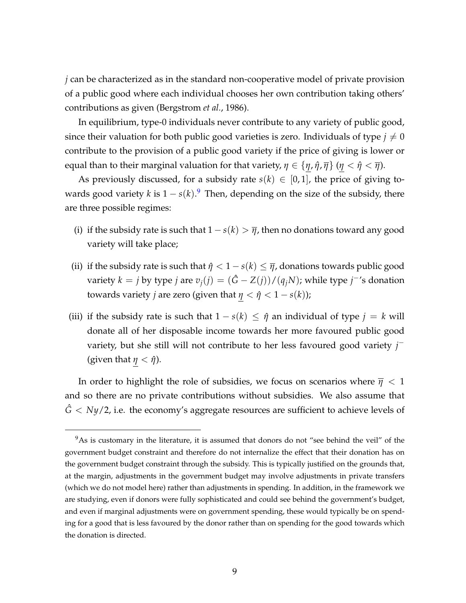*j* can be characterized as in the standard non-cooperative model of private provision of a public good where each individual chooses her own contribution taking others' contributions as given (Bergstrom *et al.*, 1986).

In equilibrium, type-0 individuals never contribute to any variety of public good, since their valuation for both public good varieties is zero. Individuals of type  $j \neq 0$ contribute to the provision of a public good variety if the price of giving is lower or equal than to their marginal valuation for that variety,  $\eta \in {\{\eta, \hat{\eta}, \overline{\eta}\}}$  ( $\eta < \hat{\eta} < \overline{\eta}$ ).

As previously discussed, for a subsidy rate  $s(k) \in [0,1]$ , the price of giving towards good variety *k* is 1 − *s*(*k*). [9](#page-10-0) Then, depending on the size of the subsidy, there are three possible regimes:

- (i) if the subsidy rate is such that  $1 s(k) > \overline{\eta}$ , then no donations toward any good variety will take place;
- (ii) if the subsidy rate is such that  $\hat{\eta} < 1 s(k) \leq \overline{\eta}$ , donations towards public good variety  $k = j$  by type  $j$  are  $v_j(j) = (\hat{G} - Z(j)) / (q_j N)$ ; while type  $j^{-1}$ s donation towards variety *j* are zero (given that  $\eta < \hat{\eta} < 1 - s(k)$ );
- (iii) if the subsidy rate is such that  $1 s(k) \leq \hat{\eta}$  an individual of type  $j = k$  will donate all of her disposable income towards her more favoured public good variety, but she still will not contribute to her less favoured good variety *j* − (given that  $\eta < \hat{\eta}$ ).

In order to highlight the role of subsidies, we focus on scenarios where  $\bar{\eta}$  < 1 and so there are no private contributions without subsidies. We also assume that  $\hat{G}$  < *Ny*/2, i.e. the economy's aggregate resources are sufficient to achieve levels of

<span id="page-10-0"></span><sup>&</sup>lt;sup>9</sup>As is customary in the literature, it is assumed that donors do not "see behind the veil" of the government budget constraint and therefore do not internalize the effect that their donation has on the government budget constraint through the subsidy. This is typically justified on the grounds that, at the margin, adjustments in the government budget may involve adjustments in private transfers (which we do not model here) rather than adjustments in spending. In addition, in the framework we are studying, even if donors were fully sophisticated and could see behind the government's budget, and even if marginal adjustments were on government spending, these would typically be on spending for a good that is less favoured by the donor rather than on spending for the good towards which the donation is directed.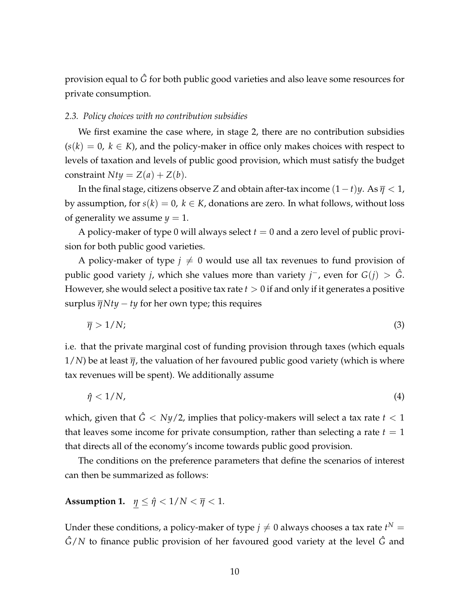provision equal to *G*ˆ for both public good varieties and also leave some resources for private consumption.

#### *2.3. Policy choices with no contribution subsidies*

We first examine the case where, in stage 2, there are no contribution subsidies  $(s(k) = 0, k \in K)$ , and the policy-maker in office only makes choices with respect to levels of taxation and levels of public good provision, which must satisfy the budget constraint  $Nty = Z(a) + Z(b)$ .

In the final stage, citizens observe *Z* and obtain after-tax income  $(1-t)y$ . As  $\overline{\eta} < 1$ , by assumption, for  $s(k) = 0$ ,  $k \in K$ , donations are zero. In what follows, without loss of generality we assume  $y = 1$ .

A policy-maker of type 0 will always select  $t = 0$  and a zero level of public provision for both public good varieties.

A policy-maker of type  $j \neq 0$  would use all tax revenues to fund provision of public good variety *j*, which she values more than variety *j*<sup> $-$ </sup>, even for  $G(j) > \hat{G}$ . However, she would select a positive tax rate *t* > 0 if and only if it generates a positive surplus  $\overline{\eta}Nty - ty$  for her own type; this requires

$$
\bar{\eta} > 1/N; \tag{3}
$$

i.e. that the private marginal cost of funding provision through taxes (which equals 1/*N*) be at least *η*, the valuation of her favoured public good variety (which is where tax revenues will be spent). We additionally assume

 $\hat{\eta}$  < 1/*N*, (4)

which, given that  $\hat{G}$  < *Ny*/2, implies that policy-makers will select a tax rate  $t$  < 1 that leaves some income for private consumption, rather than selecting a rate  $t = 1$ that directs all of the economy's income towards public good provision.

The conditions on the preference parameters that define the scenarios of interest can then be summarized as follows:

# **Assumption 1.**  $\eta \leq \hat{\eta} < 1/N < \overline{\eta} < 1$ .

Under these conditions, a policy-maker of type  $j\neq 0$  always chooses a tax rate  $t^N=0$ *G*ˆ/*N* to finance public provision of her favoured good variety at the level *G*ˆ and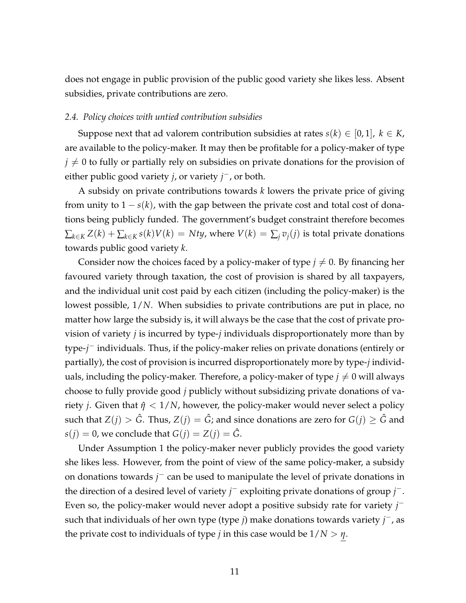does not engage in public provision of the public good variety she likes less. Absent subsidies, private contributions are zero.

#### *2.4. Policy choices with untied contribution subsidies*

Suppose next that ad valorem contribution subsidies at rates *s*( $k$ )  $\in$  [0, 1],  $k \in K$ , are available to the policy-maker. It may then be profitable for a policy-maker of type  $j \neq 0$  to fully or partially rely on subsidies on private donations for the provision of either public good variety *j*, or variety *j* <sup>−</sup>, or both.

A subsidy on private contributions towards *k* lowers the private price of giving from unity to  $1 - s(k)$ , with the gap between the private cost and total cost of donations being publicly funded. The government's budget constraint therefore becomes  $\sum_{k \in K} Z(k) + \sum_{k \in K} s(k)V(k) = Nty$ , where  $V(k) = \sum_{i} v_i(j)$  is total private donations towards public good variety *k*.

Consider now the choices faced by a policy-maker of type  $j \neq 0$ . By financing her favoured variety through taxation, the cost of provision is shared by all taxpayers, and the individual unit cost paid by each citizen (including the policy-maker) is the lowest possible, 1/*N*. When subsidies to private contributions are put in place, no matter how large the subsidy is, it will always be the case that the cost of private provision of variety *j* is incurred by type-*j* individuals disproportionately more than by type-*j* <sup>−</sup> individuals. Thus, if the policy-maker relies on private donations (entirely or partially), the cost of provision is incurred disproportionately more by type-*j* individuals, including the policy-maker. Therefore, a policy-maker of type  $j \neq 0$  will always choose to fully provide good *j* publicly without subsidizing private donations of variety *j*. Given that  $\hat{\eta}$  < 1/*N*, however, the policy-maker would never select a policy such that  $Z(j) > \hat{G}$ . Thus,  $Z(j) = \hat{G}$ ; and since donations are zero for  $G(j) \geq \hat{G}$  and *s*(*j*) = 0, we conclude that  $G(j) = Z(j) = \hat{G}$ .

Under Assumption 1 the policy-maker never publicly provides the good variety she likes less. However, from the point of view of the same policy-maker, a subsidy on donations towards *j* <sup>−</sup> can be used to manipulate the level of private donations in the direction of a desired level of variety *j* <sup>−</sup> exploiting private donations of group *j* −. Even so, the policy-maker would never adopt a positive subsidy rate for variety *j* − such that individuals of her own type (type *j*) make donations towards variety *j* <sup>−</sup>, as the private cost to individuals of type *j* in this case would be  $1/N > \eta$ .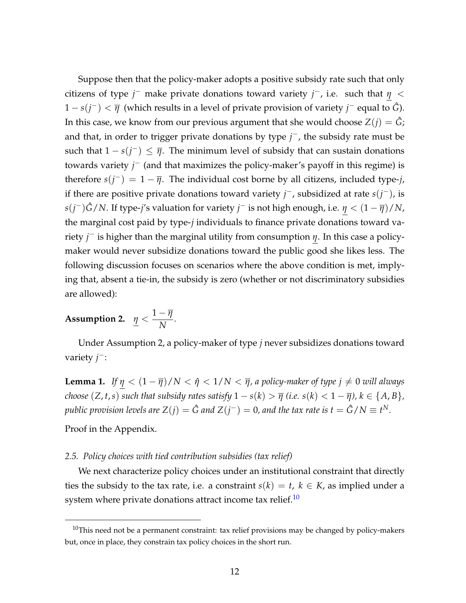Suppose then that the policy-maker adopts a positive subsidy rate such that only citizens of type *j* <sup>−</sup> make private donations toward variety *j* <sup>−</sup>, i.e. such that *η* < 1 − *s*(*j* <sup>−</sup>) < *η* (which results in a level of private provision of variety *j* <sup>−</sup> equal to *G*ˆ). In this case, we know from our previous argument that she would choose  $Z(i) = \hat{G}$ ; and that, in order to trigger private donations by type *j*<sup>−</sup>, the subsidy rate must be such that  $1 - s(j^{-}) \leq \overline{\eta}$ . The minimum level of subsidy that can sustain donations towards variety *j*<sup>−</sup> (and that maximizes the policy-maker's payoff in this regime) is therefore  $s(j^-) = 1 - \overline{\eta}$ . The individual cost borne by all citizens, included type-*j*, if there are positive private donations toward variety *j* <sup>−</sup>, subsidized at rate *s*(*j* <sup>−</sup>), is *s*(*j* <sup>−</sup>)*G*ˆ/*N*. If type-*j*'s valuation for variety *j* <sup>−</sup> is not high enough, i.e. *η* < (1 − *η*)/*N*, the marginal cost paid by type-*j* individuals to finance private donations toward variety *j* <sup>−</sup> is higher than the marginal utility from consumption *η*. In this case a policymaker would never subsidize donations toward the public good she likes less. The following discussion focuses on scenarios where the above condition is met, implying that, absent a tie-in, the subsidy is zero (whether or not discriminatory subsidies are allowed):

**Assumption 2.** 
$$
\underline{\eta} < \frac{1-\overline{\eta}}{N}
$$
.

Under Assumption 2, a policy-maker of type *j* never subsidizes donations toward variety *j*<sup>−</sup>:

**Lemma 1.** *If*  $\eta < (1 - \overline{\eta})/N < \hat{\eta} < 1/N < \overline{\eta}$ , a policy-maker of type  $j \neq 0$  will always *choose*  $(Z, t, s)$  *such that subsidy rates satisfy*  $1 - s(k) > \overline{\eta}$  *(i.e.*  $s(k) < 1 - \overline{\eta}$ *)*,  $k \in \{A, B\}$ *, public provision levels are*  $Z(j) = \hat{G}$  *and*  $Z(j^{-}) = 0$ *, and the tax rate is t*  $= \hat{G}/N \equiv t^N.$ 

Proof in the Appendix.

# *2.5. Policy choices with tied contribution subsidies (tax relief)*

We next characterize policy choices under an institutional constraint that directly ties the subsidy to the tax rate, i.e. a constraint  $s(k) = t$ ,  $k \in K$ , as implied under a system where private donations attract income tax relief.<sup>[10](#page-13-0)</sup>

<span id="page-13-0"></span> $10$ This need not be a permanent constraint: tax relief provisions may be changed by policy-makers but, once in place, they constrain tax policy choices in the short run.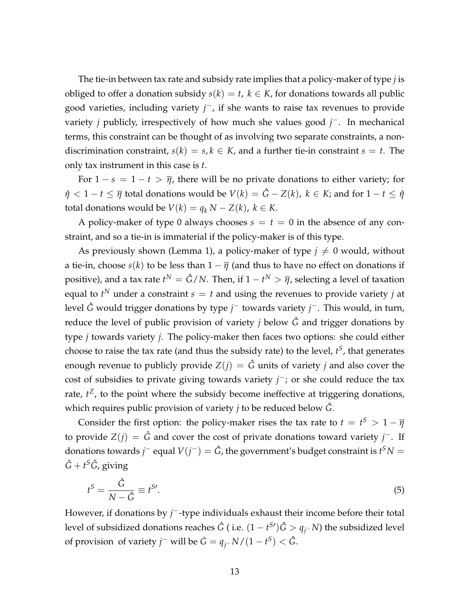The tie-in between tax rate and subsidy rate implies that a policy-maker of type *j* is obliged to offer a donation subsidy  $s(k) = t$ ,  $k \in K$ , for donations towards all public good varieties, including variety *j*<sup>−</sup>, if she wants to raise tax revenues to provide variety *j* publicly, irrespectively of how much she values good *j* <sup>−</sup>. In mechanical terms, this constraint can be thought of as involving two separate constraints, a nondiscrimination constraint,  $s(k) = s, k \in K$ , and a further tie-in constraint  $s = t$ . The only tax instrument in this case is *t*.

For  $1 - s = 1 - t > \overline{\eta}$ , there will be no private donations to either variety; for  $\hat{\eta}$  < 1 − *t*  $\leq \overline{\eta}$  total donations would be  $V(k) = \hat{G} - Z(k)$ ,  $k \in K$ ; and for 1 − *t*  $\leq \hat{\eta}$ total donations would be  $V(k) = q_k N - Z(k)$ ,  $k \in K$ .

A policy-maker of type 0 always chooses  $s = t = 0$  in the absence of any constraint, and so a tie-in is immaterial if the policy-maker is of this type.

As previously shown (Lemma 1), a policy-maker of type  $j \neq 0$  would, without a tie-in, choose  $s(k)$  to be less than  $1 - \overline{\eta}$  (and thus to have no effect on donations if positive), and a tax rate  $t^N = \hat{G}/N$ . Then, if  $1-t^N > \overline{\eta}$ , selecting a level of taxation equal to  $t^N$  under a constraint  $s = t$  and using the revenues to provide variety  $j$  at level *G*ˆ would trigger donations by type *j* <sup>−</sup> towards variety *j* <sup>−</sup>. This would, in turn, reduce the level of public provision of variety *j* below  $\hat{G}$  and trigger donations by type *j* towards variety *j*. The policy-maker then faces two options: she could either choose to raise the tax rate (and thus the subsidy rate) to the level, *t S* , that generates enough revenue to publicly provide  $Z(i) = \hat{G}$  units of variety *j* and also cover the cost of subsidies to private giving towards variety *j*<sup>−</sup>; or she could reduce the tax rate,  $t^Z$ , to the point where the subsidy become ineffective at triggering donations, which requires public provision of variety *j* to be reduced below *G*ˆ.

Consider the first option: the policy-maker rises the tax rate to  $t = t^S > 1 - \overline{\eta}$ to provide *Z*(*j*) = *G*ˆ and cover the cost of private donations toward variety *j* <sup>−</sup>. If donations towards *j*<sup>−</sup> equal  $V(j^-) = \hat{G}$ , the government's budget constraint is  $t^S N =$  $\hat{G}+t^{S}\hat{G}$ , giving

$$
t^{S} = \frac{\hat{G}}{N - \hat{G}} \equiv t^{S}.
$$
\n(5)

However, if donations by *j*<sup>-</sup>-type individuals exhaust their income before their total level of subsidized donations reaches  $\hat{G}$  ( i.e.  $(1-t^{S\prime})\hat{G}>q_{j^-}N)$  the subsidized level of provision of variety *j*<sup>−</sup> will be  $\dot{G} = q_j - N/(1 - t^S) < \hat{G}$ .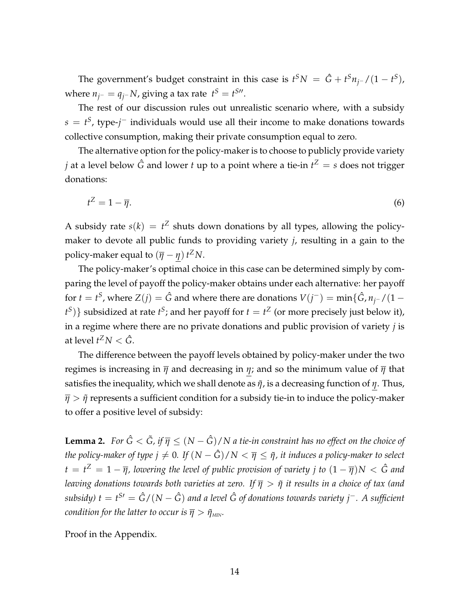The government's budget constraint in this case is  $t^SN = \hat{G} + t^Sn_{j^-}/(1-t^S)$ , where  $n_{j^-} = q_{j^-} N$ , giving a tax rate  $t^S = t^{S}$ .

The rest of our discussion rules out unrealistic scenario where, with a subsidy  $s = t^S$ , type- $j^-$  individuals would use all their income to make donations towards collective consumption, making their private consumption equal to zero.

The alternative option for the policy-maker is to choose to publicly provide variety *j* at a level below  $\hat{G}$  and lower *t* up to a point where a tie-in  $t^Z = s$  does not trigger donations:

$$
t^Z = 1 - \overline{\eta}.\tag{6}
$$

A subsidy rate  $s(k) = t^Z$  shuts down donations by all types, allowing the policymaker to devote all public funds to providing variety *j*, resulting in a gain to the policy-maker equal to  $(\overline{\eta} - \eta) t^Z N$ .

The policy-maker's optimal choice in this case can be determined simply by comparing the level of payoff the policy-maker obtains under each alternative: her payoff for  $t = t^S$ , where  $Z(j) = \hat{G}$  and where there are donations  $V(j^-) = \min\{\hat{G}, n_{j^-}/(1-\hat{G})\}$  $\{t^S\}$ } subsidized at rate  $t^S$ ; and her payoff for  $t = t^Z$  (or more precisely just below it), in a regime where there are no private donations and public provision of variety *j* is at level  $t^Z N < \hat{G}$ .

The difference between the payoff levels obtained by policy-maker under the two regimes is increasing in  $\overline{\eta}$  and decreasing in  $\eta$ ; and so the minimum value of  $\overline{\eta}$  that satisfies the inequality, which we shall denote as  $\tilde{\eta}$ , is a decreasing function of *η*. Thus,  $\bar{\eta} > \tilde{\eta}$  represents a sufficient condition for a subsidy tie-in to induce the policy-maker to offer a positive level of subsidy:

**Lemma 2.** *For*  $\hat{G} < \tilde{G}$ *, if*  $\overline{\eta} \leq (N - \hat{G})/N$  *a tie-in constraint has no effect on the choice of the policy-maker of type*  $j \neq 0$ *. If*  $(N - \hat{G})/N < \overline{\eta} \leq \tilde{\eta}$ *, it induces a policy-maker to select*  $t=t^{Z}=1-\overline{\eta}$ , lowering the level of public provision of variety j to  $(1-\overline{\eta})N<\hat{G}$  and *leaving donations towards both varieties at zero. If η* > *η*˜ *it results in a choice of tax (and subsidy) t* = *t <sup>S</sup>*<sup>0</sup> = *G*ˆ/(*N* − *G*ˆ) *and a level G of donations towards variety j* ˆ <sup>−</sup>*. A sufficient condition for the latter to occur is*  $\overline{\eta} > \tilde{\eta}_{MIN}$ *.* 

Proof in the Appendix.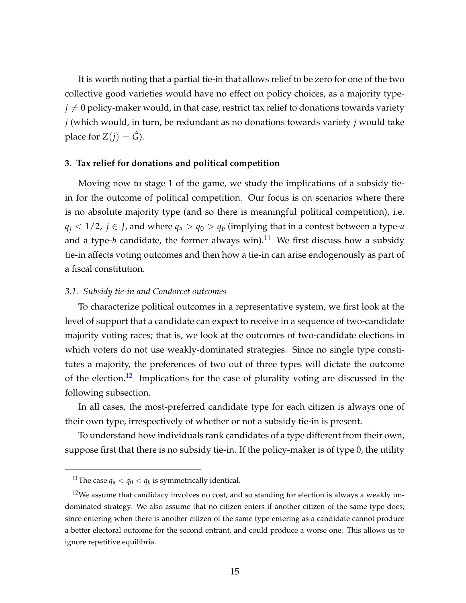It is worth noting that a partial tie-in that allows relief to be zero for one of the two collective good varieties would have no effect on policy choices, as a majority type $j \neq 0$  policy-maker would, in that case, restrict tax relief to donations towards variety *j* (which would, in turn, be redundant as no donations towards variety *j* would take place for  $Z(j) = \hat{G}$ ).

#### **3. Tax relief for donations and political competition**

Moving now to stage 1 of the game, we study the implications of a subsidy tiein for the outcome of political competition. Our focus is on scenarios where there is no absolute majority type (and so there is meaningful political competition), i.e. *q*<sub>*j*</sub> < 1/2, *j* ∈ *J*, and where  $q_a > q_0 > q_b$  (implying that in a contest between a type-*a* and a type-*b* candidate, the former always win).<sup>[11](#page-16-0)</sup> We first discuss how a subsidy tie-in affects voting outcomes and then how a tie-in can arise endogenously as part of a fiscal constitution.

#### *3.1. Subsidy tie-in and Condorcet outcomes*

To characterize political outcomes in a representative system, we first look at the level of support that a candidate can expect to receive in a sequence of two-candidate majority voting races; that is, we look at the outcomes of two-candidate elections in which voters do not use weakly-dominated strategies. Since no single type constitutes a majority, the preferences of two out of three types will dictate the outcome of the election.<sup>[12](#page-16-1)</sup> Implications for the case of plurality voting are discussed in the following subsection.

In all cases, the most-preferred candidate type for each citizen is always one of their own type, irrespectively of whether or not a subsidy tie-in is present.

To understand how individuals rank candidates of a type different from their own, suppose first that there is no subsidy tie-in. If the policy-maker is of type 0, the utility

<span id="page-16-1"></span><span id="page-16-0"></span><sup>&</sup>lt;sup>11</sup>The case  $q_a < q_0 < q_b$  is symmetrically identical.

 $12$ We assume that candidacy involves no cost, and so standing for election is always a weakly undominated strategy. We also assume that no citizen enters if another citizen of the same type does; since entering when there is another citizen of the same type entering as a candidate cannot produce a better electoral outcome for the second entrant, and could produce a worse one. This allows us to ignore repetitive equilibria.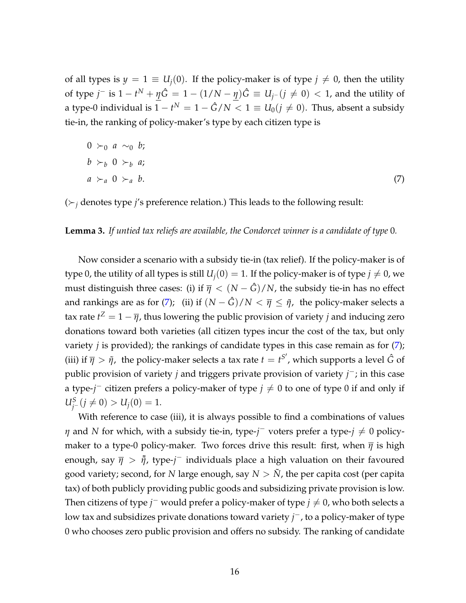of all types is  $y = 1 \equiv U_i(0)$ . If the policy-maker is of type  $j \neq 0$ , then the utility of type  $j^-$  is  $1 - t^N + \eta \hat{G} = 1 - (1/N - \eta)\hat{G} \equiv U_{j^-}(j \neq 0) < 1$ , and the utility of a type-0 individual is  $1-t^N = 1-\hat{G}/N < 1 \equiv U_0 (j \neq 0).$  Thus, absent a subsidy tie-in, the ranking of policy-maker's type by each citizen type is

<span id="page-17-0"></span>
$$
0 \succ_0 a \sim_0 b;
$$
  
\n
$$
b \succ_b 0 \succ_b a;
$$
  
\n
$$
a \succ_a 0 \succ_a b.
$$
  
\n(7)

 $(\succ_i$  denotes type *j'*s preference relation.) This leads to the following result:

**Lemma 3.** *If untied tax reliefs are available, the Condorcet winner is a candidate of type* 0*.*

Now consider a scenario with a subsidy tie-in (tax relief). If the policy-maker is of type 0, the utility of all types is still  $U_i(0) = 1$ . If the policy-maker is of type  $j \neq 0$ , we must distinguish three cases: (i) if  $\overline{\eta} < (N - \hat{G})/N$ , the subsidy tie-in has no effect and rankings are as for [\(7\)](#page-17-0); (ii) if  $(N - \hat{G})/N < \bar{\eta} \leq \tilde{\eta}$ , the policy-maker selects a tax rate  $t^Z = 1 - \overline{\eta}$ , thus lowering the public provision of variety  $j$  and inducing zero donations toward both varieties (all citizen types incur the cost of the tax, but only variety *j* is provided); the rankings of candidate types in this case remain as for [\(7\)](#page-17-0); (iii) if  $\overline{\eta} > \tilde{\eta}$ , the policy-maker selects a tax rate  $t = t^{S'}$ , which supports a level  $\hat{G}$  of public provision of variety *j* and triggers private provision of variety *j*<sup>−</sup>; in this case a type-*j*<sup>−</sup> citizen prefers a policy-maker of type *j* ≠ 0 to one of type 0 if and only if  $U_j^S$  (*j*  $\neq$  0) > *U<sub>j</sub>*(0) = 1.

With reference to case (iii), it is always possible to find a combinations of values *η* and *N* for which, with a subsidy tie-in, type- $j^-$  voters prefer a type- $j \neq 0$  policymaker to a type-0 policy-maker. Two forces drive this result: first, when  $\bar{\eta}$  is high enough, say *η* > ˜*η*˜, type-*j* <sup>−</sup> individuals place a high valuation on their favoured good variety; second, for *N* large enough, say  $N > N$ , the per capita cost (per capita tax) of both publicly providing public goods and subsidizing private provision is low. Then citizens of type *j*<sup>−</sup> would prefer a policy-maker of type  $j \neq 0$ , who both selects a low tax and subsidizes private donations toward variety *j* <sup>−</sup>, to a policy-maker of type 0 who chooses zero public provision and offers no subsidy. The ranking of candidate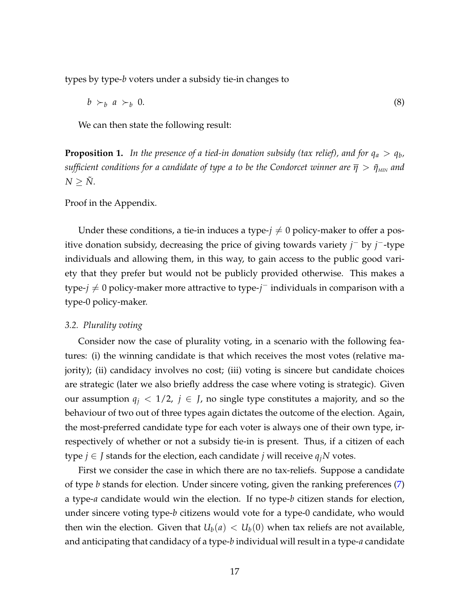types by type-*b* voters under a subsidy tie-in changes to

<span id="page-18-0"></span>
$$
b \succ_b a \succ_b 0. \tag{8}
$$

We can then state the following result:

**Proposition 1.** In the presence of a tied-in donation subsidy (tax relief), and for  $q_a > q_b$ , *sufficient conditions for a candidate of type a to be the Condorcet winner are*  $\bar{\eta} > \tilde{\eta}_{\text{MIN}}$  and  $N > \tilde{N}$ .

Proof in the Appendix.

Under these conditions, a tie-in induces a type- $j \neq 0$  policy-maker to offer a positive donation subsidy, decreasing the price of giving towards variety *j* <sup>−</sup> by *j* <sup>−</sup>-type individuals and allowing them, in this way, to gain access to the public good variety that they prefer but would not be publicly provided otherwise. This makes a type-*j* ≠ 0 policy-maker more attractive to type-*j*<sup>-</sup> individuals in comparison with a type-0 policy-maker.

#### *3.2. Plurality voting*

Consider now the case of plurality voting, in a scenario with the following features: (i) the winning candidate is that which receives the most votes (relative majority); (ii) candidacy involves no cost; (iii) voting is sincere but candidate choices are strategic (later we also briefly address the case where voting is strategic). Given our assumption  $q_i < 1/2$ ,  $j \in J$ , no single type constitutes a majority, and so the behaviour of two out of three types again dictates the outcome of the election. Again, the most-preferred candidate type for each voter is always one of their own type, irrespectively of whether or not a subsidy tie-in is present. Thus, if a citizen of each type  $j \in J$  stands for the election, each candidate  $j$  will receive  $q_jN$  votes.

First we consider the case in which there are no tax-reliefs. Suppose a candidate of type *b* stands for election. Under sincere voting, given the ranking preferences [\(7\)](#page-17-0) a type-*a* candidate would win the election. If no type-*b* citizen stands for election, under sincere voting type-*b* citizens would vote for a type-0 candidate, who would then win the election. Given that  $U_b(a) < U_b(0)$  when tax reliefs are not available, and anticipating that candidacy of a type-*b* individual will result in a type-*a* candidate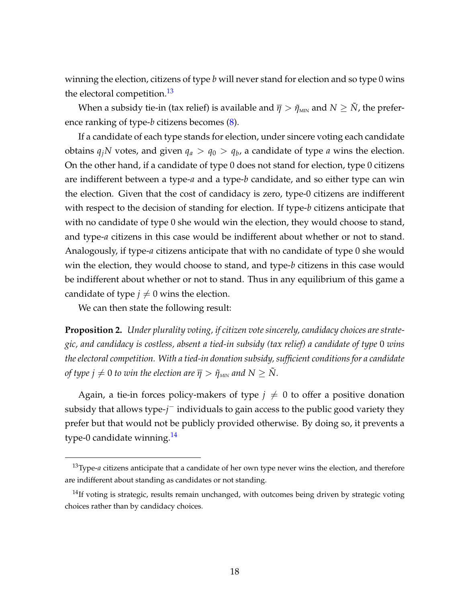winning the election, citizens of type *b* will never stand for election and so type 0 wins the electoral competition.<sup>[13](#page-19-0)</sup>

When a subsidy tie-in (tax relief) is available and  $\bar{\eta} > \tilde{\eta}_{MIN}$  and  $N \geq \tilde{N}$ , the preference ranking of type-*b* citizens becomes [\(8\)](#page-18-0).

If a candidate of each type stands for election, under sincere voting each candidate obtains  $q_jN$  votes, and given  $q_a > q_0 > q_b$ , a candidate of type *a* wins the election. On the other hand, if a candidate of type 0 does not stand for election, type 0 citizens are indifferent between a type-*a* and a type-*b* candidate, and so either type can win the election. Given that the cost of candidacy is zero, type-0 citizens are indifferent with respect to the decision of standing for election. If type-*b* citizens anticipate that with no candidate of type 0 she would win the election, they would choose to stand, and type-*a* citizens in this case would be indifferent about whether or not to stand. Analogously, if type-*a* citizens anticipate that with no candidate of type 0 she would win the election, they would choose to stand, and type-*b* citizens in this case would be indifferent about whether or not to stand. Thus in any equilibrium of this game a candidate of type  $j \neq 0$  wins the election.

We can then state the following result:

**Proposition 2.** *Under plurality voting, if citizen vote sincerely, candidacy choices are strategic, and candidacy is costless, absent a tied-in subsidy (tax relief) a candidate of type* 0 *wins the electoral competition. With a tied-in donation subsidy, sufficient conditions for a candidate of type*  $j \neq 0$  *to win the election are*  $\overline{\eta} > \tilde{\eta}_{MN}$  *and*  $N \geq \tilde{N}$ *.* 

Again, a tie-in forces policy-makers of type  $j \neq 0$  to offer a positive donation subsidy that allows type-*j* <sup>−</sup> individuals to gain access to the public good variety they prefer but that would not be publicly provided otherwise. By doing so, it prevents a type-0 candidate winning.<sup>[14](#page-19-1)</sup>

<span id="page-19-0"></span><sup>13</sup>Type-*a* citizens anticipate that a candidate of her own type never wins the election, and therefore are indifferent about standing as candidates or not standing.

<span id="page-19-1"></span> $14$ If voting is strategic, results remain unchanged, with outcomes being driven by strategic voting choices rather than by candidacy choices.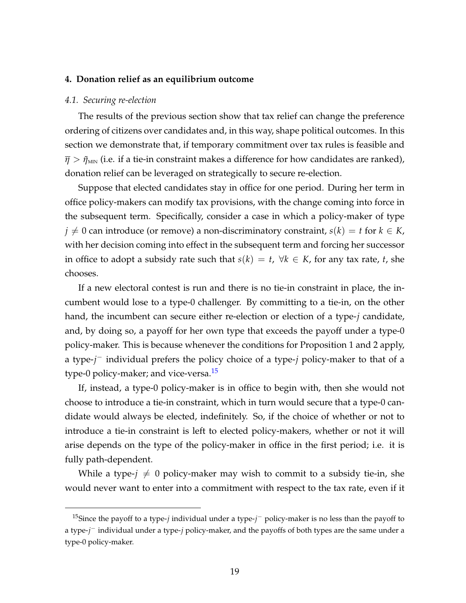#### **4. Donation relief as an equilibrium outcome**

#### *4.1. Securing re-election*

The results of the previous section show that tax relief can change the preference ordering of citizens over candidates and, in this way, shape political outcomes. In this section we demonstrate that, if temporary commitment over tax rules is feasible and  $\bar{\eta} > \tilde{\eta}_{MIN}$  (i.e. if a tie-in constraint makes a difference for how candidates are ranked), donation relief can be leveraged on strategically to secure re-election.

Suppose that elected candidates stay in office for one period. During her term in office policy-makers can modify tax provisions, with the change coming into force in the subsequent term. Specifically, consider a case in which a policy-maker of type  $j \neq 0$  can introduce (or remove) a non-discriminatory constraint,  $s(k) = t$  for  $k \in K$ , with her decision coming into effect in the subsequent term and forcing her successor in office to adopt a subsidy rate such that  $s(k) = t$ ,  $\forall k \in K$ , for any tax rate, *t*, she chooses.

If a new electoral contest is run and there is no tie-in constraint in place, the incumbent would lose to a type-0 challenger. By committing to a tie-in, on the other hand, the incumbent can secure either re-election or election of a type-*j* candidate, and, by doing so, a payoff for her own type that exceeds the payoff under a type-0 policy-maker. This is because whenever the conditions for Proposition 1 and 2 apply, a type-*j* <sup>−</sup> individual prefers the policy choice of a type-*j* policy-maker to that of a type-0 policy-maker; and vice-versa.<sup>[15](#page-20-0)</sup>

If, instead, a type-0 policy-maker is in office to begin with, then she would not choose to introduce a tie-in constraint, which in turn would secure that a type-0 candidate would always be elected, indefinitely. So, if the choice of whether or not to introduce a tie-in constraint is left to elected policy-makers, whether or not it will arise depends on the type of the policy-maker in office in the first period; i.e. it is fully path-dependent.

While a type- $j \neq 0$  policy-maker may wish to commit to a subsidy tie-in, she would never want to enter into a commitment with respect to the tax rate, even if it

<span id="page-20-0"></span><sup>15</sup>Since the payoff to a type-*j* individual under a type-*j* <sup>−</sup> policy-maker is no less than the payoff to a type-*j* <sup>−</sup> individual under a type-*j* policy-maker, and the payoffs of both types are the same under a type-0 policy-maker.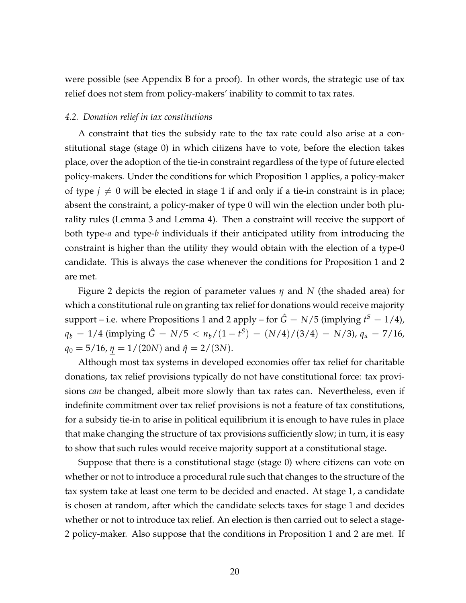were possible (see Appendix B for a proof). In other words, the strategic use of tax relief does not stem from policy-makers' inability to commit to tax rates.

#### *4.2. Donation relief in tax constitutions*

A constraint that ties the subsidy rate to the tax rate could also arise at a constitutional stage (stage 0) in which citizens have to vote, before the election takes place, over the adoption of the tie-in constraint regardless of the type of future elected policy-makers. Under the conditions for which Proposition 1 applies, a policy-maker of type  $j \neq 0$  will be elected in stage 1 if and only if a tie-in constraint is in place; absent the constraint, a policy-maker of type 0 will win the election under both plurality rules (Lemma 3 and Lemma 4). Then a constraint will receive the support of both type-*a* and type-*b* individuals if their anticipated utility from introducing the constraint is higher than the utility they would obtain with the election of a type-0 candidate. This is always the case whenever the conditions for Proposition 1 and 2 are met.

Figure 2 depicts the region of parameter values  $\overline{\eta}$  and N (the shaded area) for which a constitutional rule on granting tax relief for donations would receive majority support – i.e. where Propositions 1 and 2 apply – for  $\hat{G} = N/5$  (implying  $t^S = 1/4$ ),  $q_b = 1/4$  (implying  $\hat{G} = N/5 < n_b/(1 - t^S) = (N/4)/(3/4) = N/3$ ),  $q_a = 7/16$ ,  $q_0 = 5/16$ ,  $\eta = 1/(20N)$  and  $\hat{\eta} = 2/(3N)$ .

Although most tax systems in developed economies offer tax relief for charitable donations, tax relief provisions typically do not have constitutional force: tax provisions *can* be changed, albeit more slowly than tax rates can. Nevertheless, even if indefinite commitment over tax relief provisions is not a feature of tax constitutions, for a subsidy tie-in to arise in political equilibrium it is enough to have rules in place that make changing the structure of tax provisions sufficiently slow; in turn, it is easy to show that such rules would receive majority support at a constitutional stage.

Suppose that there is a constitutional stage (stage 0) where citizens can vote on whether or not to introduce a procedural rule such that changes to the structure of the tax system take at least one term to be decided and enacted. At stage 1, a candidate is chosen at random, after which the candidate selects taxes for stage 1 and decides whether or not to introduce tax relief. An election is then carried out to select a stage-2 policy-maker. Also suppose that the conditions in Proposition 1 and 2 are met. If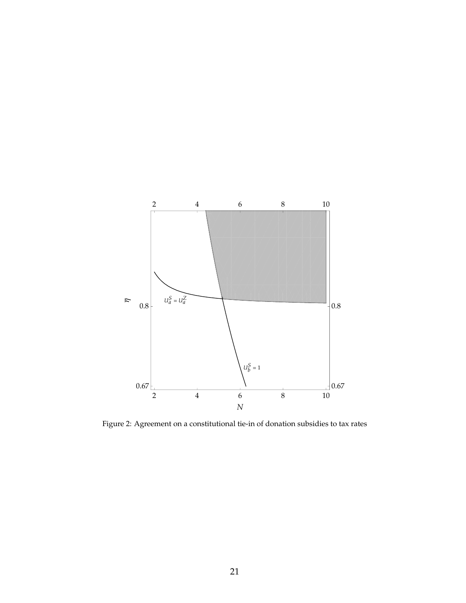

Figure 2: Agreement on a constitutional tie-in of donation subsidies to tax rates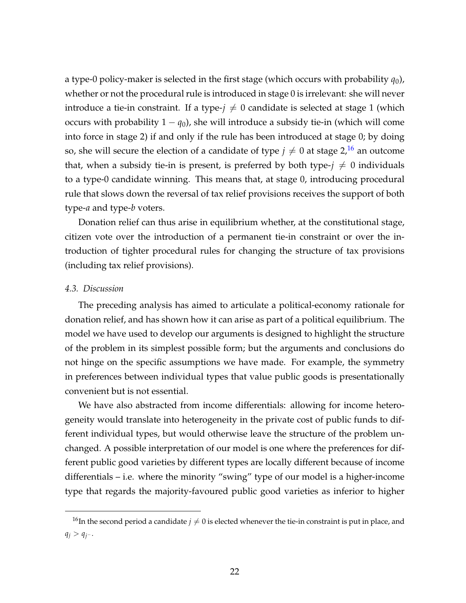a type-0 policy-maker is selected in the first stage (which occurs with probability  $q_0$ ), whether or not the procedural rule is introduced in stage 0 is irrelevant: she will never introduce a tie-in constraint. If a type- $j \neq 0$  candidate is selected at stage 1 (which occurs with probability  $1 - q_0$ ), she will introduce a subsidy tie-in (which will come into force in stage 2) if and only if the rule has been introduced at stage 0; by doing so, she will secure the election of a candidate of type  $j \neq 0$  at stage  $2<sup>16</sup>$  $2<sup>16</sup>$  $2<sup>16</sup>$  an outcome that, when a subsidy tie-in is present, is preferred by both type- $j \neq 0$  individuals to a type-0 candidate winning. This means that, at stage 0, introducing procedural rule that slows down the reversal of tax relief provisions receives the support of both type-*a* and type-*b* voters.

Donation relief can thus arise in equilibrium whether, at the constitutional stage, citizen vote over the introduction of a permanent tie-in constraint or over the introduction of tighter procedural rules for changing the structure of tax provisions (including tax relief provisions).

# *4.3. Discussion*

The preceding analysis has aimed to articulate a political-economy rationale for donation relief, and has shown how it can arise as part of a political equilibrium. The model we have used to develop our arguments is designed to highlight the structure of the problem in its simplest possible form; but the arguments and conclusions do not hinge on the specific assumptions we have made. For example, the symmetry in preferences between individual types that value public goods is presentationally convenient but is not essential.

We have also abstracted from income differentials: allowing for income heterogeneity would translate into heterogeneity in the private cost of public funds to different individual types, but would otherwise leave the structure of the problem unchanged. A possible interpretation of our model is one where the preferences for different public good varieties by different types are locally different because of income differentials – i.e. where the minority "swing" type of our model is a higher-income type that regards the majority-favoured public good varieties as inferior to higher

<span id="page-23-0"></span><sup>&</sup>lt;sup>16</sup>In the second period a candidate  $j \neq 0$  is elected whenever the tie-in constraint is put in place, and *q*<sup>*j*</sup> > *q*<sup>*j*−</sup> .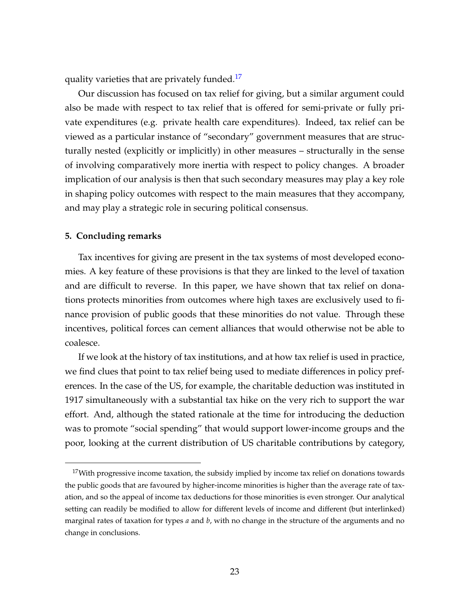quality varieties that are privately funded.<sup>[17](#page-24-0)</sup>

Our discussion has focused on tax relief for giving, but a similar argument could also be made with respect to tax relief that is offered for semi-private or fully private expenditures (e.g. private health care expenditures). Indeed, tax relief can be viewed as a particular instance of "secondary" government measures that are structurally nested (explicitly or implicitly) in other measures – structurally in the sense of involving comparatively more inertia with respect to policy changes. A broader implication of our analysis is then that such secondary measures may play a key role in shaping policy outcomes with respect to the main measures that they accompany, and may play a strategic role in securing political consensus.

# **5. Concluding remarks**

Tax incentives for giving are present in the tax systems of most developed economies. A key feature of these provisions is that they are linked to the level of taxation and are difficult to reverse. In this paper, we have shown that tax relief on donations protects minorities from outcomes where high taxes are exclusively used to finance provision of public goods that these minorities do not value. Through these incentives, political forces can cement alliances that would otherwise not be able to coalesce.

If we look at the history of tax institutions, and at how tax relief is used in practice, we find clues that point to tax relief being used to mediate differences in policy preferences. In the case of the US, for example, the charitable deduction was instituted in 1917 simultaneously with a substantial tax hike on the very rich to support the war effort. And, although the stated rationale at the time for introducing the deduction was to promote "social spending" that would support lower-income groups and the poor, looking at the current distribution of US charitable contributions by category,

<span id="page-24-0"></span> $17$ With progressive income taxation, the subsidy implied by income tax relief on donations towards the public goods that are favoured by higher-income minorities is higher than the average rate of taxation, and so the appeal of income tax deductions for those minorities is even stronger. Our analytical setting can readily be modified to allow for different levels of income and different (but interlinked) marginal rates of taxation for types *a* and *b*, with no change in the structure of the arguments and no change in conclusions.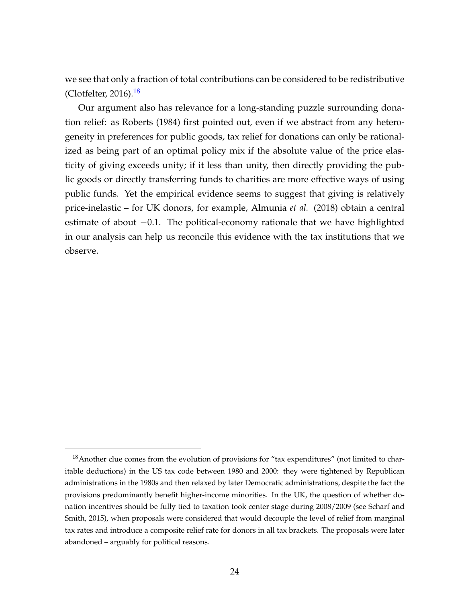we see that only a fraction of total contributions can be considered to be redistributive (Clotfelter, 2016). $18$ 

Our argument also has relevance for a long-standing puzzle surrounding donation relief: as Roberts (1984) first pointed out, even if we abstract from any heterogeneity in preferences for public goods, tax relief for donations can only be rationalized as being part of an optimal policy mix if the absolute value of the price elasticity of giving exceeds unity; if it less than unity, then directly providing the public goods or directly transferring funds to charities are more effective ways of using public funds. Yet the empirical evidence seems to suggest that giving is relatively price-inelastic – for UK donors, for example, Almunia *et al.* (2018) obtain a central estimate of about −0.1. The political-economy rationale that we have highlighted in our analysis can help us reconcile this evidence with the tax institutions that we observe.

<span id="page-25-0"></span> $18$ Another clue comes from the evolution of provisions for "tax expenditures" (not limited to charitable deductions) in the US tax code between 1980 and 2000: they were tightened by Republican administrations in the 1980s and then relaxed by later Democratic administrations, despite the fact the provisions predominantly benefit higher-income minorities. In the UK, the question of whether donation incentives should be fully tied to taxation took center stage during 2008/2009 (see Scharf and Smith, 2015), when proposals were considered that would decouple the level of relief from marginal tax rates and introduce a composite relief rate for donors in all tax brackets. The proposals were later abandoned – arguably for political reasons.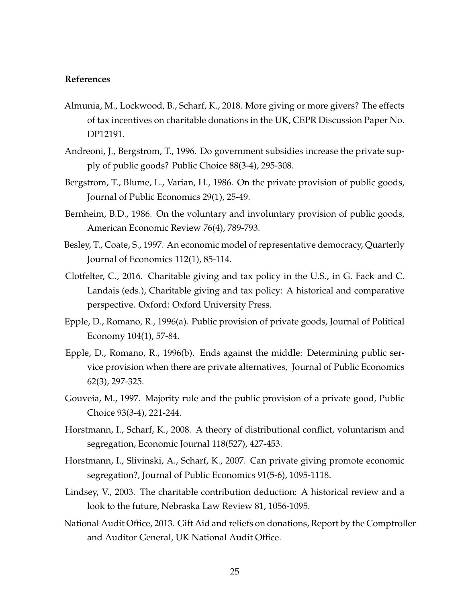# **References**

- Almunia, M., Lockwood, B., Scharf, K., 2018. More giving or more givers? The effects of tax incentives on charitable donations in the UK, CEPR Discussion Paper No. DP12191.
- Andreoni, J., Bergstrom, T., 1996. Do government subsidies increase the private supply of public goods? Public Choice 88(3-4), 295-308.
- Bergstrom, T., Blume, L., Varian, H., 1986. On the private provision of public goods, Journal of Public Economics 29(1), 25-49.
- Bernheim, B.D., 1986. On the voluntary and involuntary provision of public goods, American Economic Review 76(4), 789-793.
- Besley, T., Coate, S., 1997. An economic model of representative democracy, Quarterly Journal of Economics 112(1), 85-114.
- Clotfelter, C., 2016. Charitable giving and tax policy in the U.S., in G. Fack and C. Landais (eds.), Charitable giving and tax policy: A historical and comparative perspective. Oxford: Oxford University Press.
- Epple, D., Romano, R., 1996(a). Public provision of private goods, Journal of Political Economy 104(1), 57-84.
- Epple, D., Romano, R., 1996(b). Ends against the middle: Determining public service provision when there are private alternatives, Journal of Public Economics 62(3), 297-325.
- Gouveia, M., 1997. Majority rule and the public provision of a private good, Public Choice 93(3-4), 221-244.
- Horstmann, I., Scharf, K., 2008. A theory of distributional conflict, voluntarism and segregation, Economic Journal 118(527), 427-453.
- Horstmann, I., Slivinski, A., Scharf, K., 2007. Can private giving promote economic segregation?, Journal of Public Economics 91(5-6), 1095-1118.
- Lindsey, V., 2003. The charitable contribution deduction: A historical review and a look to the future, Nebraska Law Review 81, 1056-1095.
- National Audit Office, 2013. Gift Aid and reliefs on donations, Report by the Comptroller and Auditor General, UK National Audit Office.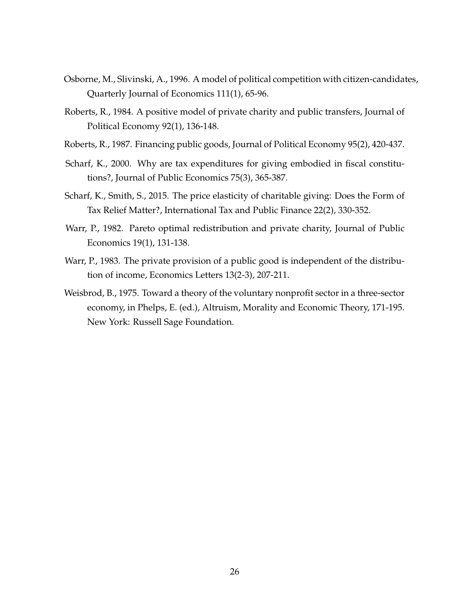- Osborne, M., Slivinski, A., 1996. A model of political competition with citizen-candidates, Quarterly Journal of Economics 111(1), 65-96.
- Roberts, R., 1984. A positive model of private charity and public transfers, Journal of Political Economy 92(1), 136-148.
- Roberts, R., 1987. Financing public goods, Journal of Political Economy 95(2), 420-437.
- Scharf, K., 2000. Why are tax expenditures for giving embodied in fiscal constitutions?, Journal of Public Economics 75(3), 365-387.
- Scharf, K., Smith, S., 2015. The price elasticity of charitable giving: Does the Form of Tax Relief Matter?, International Tax and Public Finance 22(2), 330-352.
- Warr, P., 1982. Pareto optimal redistribution and private charity, Journal of Public Economics 19(1), 131-138.
- Warr, P., 1983. The private provision of a public good is independent of the distribution of income, Economics Letters 13(2-3), 207-211.
- Weisbrod, B., 1975. Toward a theory of the voluntary nonprofit sector in a three-sector economy, in Phelps, E. (ed.), Altruism, Morality and Economic Theory, 171-195. New York: Russell Sage Foundation.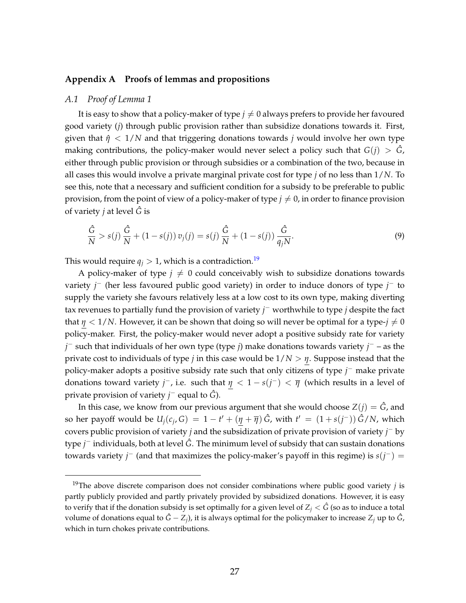# **Appendix A Proofs of lemmas and propositions**

#### *A.1 Proof of Lemma 1*

It is easy to show that a policy-maker of type  $j \neq 0$  always prefers to provide her favoured good variety (*j*) through public provision rather than subsidize donations towards it. First, given that  $\hat{\eta}$  < 1/*N* and that triggering donations towards *j* would involve her own type making contributions, the policy-maker would never select a policy such that  $G(i) > \hat{G}$ , either through public provision or through subsidies or a combination of the two, because in all cases this would involve a private marginal private cost for type *j* of no less than 1/*N*. To see this, note that a necessary and sufficient condition for a subsidy to be preferable to public provision, from the point of view of a policy-maker of type  $j \neq 0$ , in order to finance provision of variety *j* at level *G*ˆ is

$$
\frac{\hat{G}}{N} > s(j)\frac{\hat{G}}{N} + (1 - s(j))v_j(j) = s(j)\frac{\hat{G}}{N} + (1 - s(j))\frac{\hat{G}}{q_jN}.
$$
\n(9)

This would require  $q_i > 1$ , which is a contradiction.<sup>[19](#page-28-0)</sup>

A policy-maker of type  $j \neq 0$  could conceivably wish to subsidize donations towards variety *j* <sup>−</sup> (her less favoured public good variety) in order to induce donors of type *j* <sup>−</sup> to supply the variety she favours relatively less at a low cost to its own type, making diverting tax revenues to partially fund the provision of variety *j* <sup>−</sup> worthwhile to type *j* despite the fact that  $\eta$  < 1/*N*. However, it can be shown that doing so will never be optimal for a type- $j \neq 0$ policy-maker. First, the policy-maker would never adopt a positive subsidy rate for variety *j* <sup>−</sup> such that individuals of her own type (type *j*) make donations towards variety *j* <sup>−</sup> – as the private cost to individuals of type *j* in this case would be 1/*N* > *η*. Suppose instead that the policy-maker adopts a positive subsidy rate such that only citizens of type *j* <sup>−</sup> make private donations toward variety *j*<sup>-</sup>, i.e. such that  $\eta < 1 - s(j^{-}) < \overline{\eta}$  (which results in a level of private provision of variety *j* <sup>−</sup> equal to *G*ˆ).

In this case, we know from our previous argument that she would choose  $Z(j) = \hat{G}$ , and so her payoff would be  $U_j(c_j, G) = 1 - t' + (\eta + \overline{\eta})\hat{G}$ , with  $t' = (1 + s(j^-))\hat{G}/N$ , which covers public provision of variety *j* and the subsidization of private provision of variety *j* <sup>−</sup> by type *j* <sup>−</sup> individuals, both at level *G*ˆ. The minimum level of subsidy that can sustain donations towards variety *j*<sup>−</sup> (and that maximizes the policy-maker's payoff in this regime) is  $s(j^{-})$  =

<span id="page-28-0"></span><sup>19</sup>The above discrete comparison does not consider combinations where public good variety *j* is partly publicly provided and partly privately provided by subsidized donations. However, it is easy to verify that if the donation subsidy is set optimally for a given level of  $Z_i < \hat{G}$  (so as to induce a total volume of donations equal to  $\hat{G} - Z_j$ ), it is always optimal for the policymaker to increase  $Z_j$  up to  $\hat{G}$ , which in turn chokes private contributions.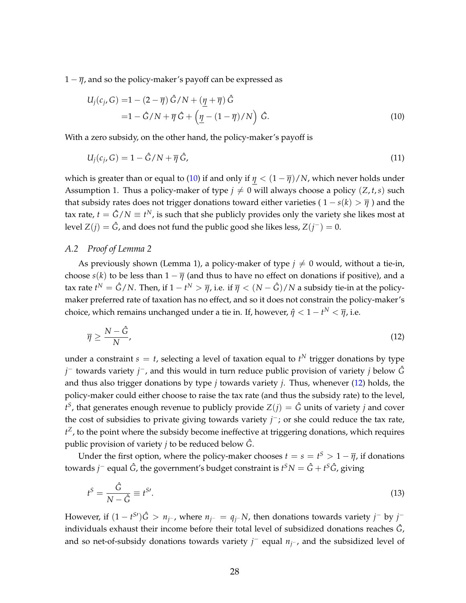$1 - \overline{\eta}$ , and so the policy-maker's payoff can be expressed as

<span id="page-29-0"></span>
$$
U_j(c_j, G) = 1 - (2 - \overline{\eta}) \hat{G}/N + (\underline{\eta} + \overline{\eta}) \hat{G}
$$
  
= 1 - \hat{G}/N + \overline{\eta} \hat{G} + (\underline{\eta} - (1 - \overline{\eta})/N) \hat{G}. (10)

With a zero subsidy, on the other hand, the policy-maker's payoff is

$$
U_j(c_j, G) = 1 - \hat{G}/N + \overline{\eta}\,\hat{G},\tag{11}
$$

which is greater than or equal to [\(10\)](#page-29-0) if and only if  $\eta < (1 - \overline{\eta})/N$ , which never holds under Assumption 1. Thus a policy-maker of type  $j \neq 0$  will always choose a policy (*Z*, *t*,*s*) such that subsidy rates does not trigger donations toward either varieties ( $1 - s(k) > \overline{\eta}$ ) and the tax rate,  $t = \hat{G}/N \equiv t^N$ , is such that she publicly provides only the variety she likes most at level  $Z(j) = \hat{G}$ , and does not fund the public good she likes less,  $Z(j^-) = 0$ .

# *A.2 Proof of Lemma 2*

As previously shown (Lemma 1), a policy-maker of type  $j \neq 0$  would, without a tie-in, choose *s*(*k*) to be less than  $1 - \overline{\eta}$  (and thus to have no effect on donations if positive), and a tax rate  $t^N=\hat G/N.$  Then, if  $1-t^N>\overline{\eta}$ , i.e. if  $\overline{\eta}<(N-\hat G)/N$  a subsidy tie-in at the policymaker preferred rate of taxation has no effect, and so it does not constrain the policy-maker's choice, which remains unchanged under a tie in. If, however,  $\hat{\eta} < 1-t^N < \overline{\eta}$ , i.e.

<span id="page-29-1"></span>
$$
\overline{\eta} \ge \frac{N - \hat{G}}{N},\tag{12}
$$

under a constraint  $s = t$ , selecting a level of taxation equal to  $t^N$  trigger donations by type *j* <sup>−</sup> towards variety *j* <sup>−</sup>, and this would in turn reduce public provision of variety *j* below *G*ˆ and thus also trigger donations by type *j* towards variety *j*. Thus, whenever [\(12\)](#page-29-1) holds, the policy-maker could either choose to raise the tax rate (and thus the subsidy rate) to the level,  $t^S$ , that generates enough revenue to publicly provide  $Z(j) = \hat{G}$  units of variety *j* and cover the cost of subsidies to private giving towards variety *j*<sup>−</sup>; or she could reduce the tax rate, *t <sup>Z</sup>*, to the point where the subsidy become ineffective at triggering donations, which requires public provision of variety *j* to be reduced below *G*ˆ.

Under the first option, where the policy-maker chooses  $t = s = t^S > 1 - \overline{\eta}$ , if donations towards *j* <sup>−</sup> equal *G*ˆ, the government's budget constraint is *t <sup>S</sup>N* = *G*ˆ + *t <sup>S</sup>G*ˆ, giving

$$
t^{S} = \frac{\hat{G}}{N - \hat{G}} \equiv t^{S}.
$$
\n(13)

However, if  $(1-t^{S'})\hat{G} > n_{j^-}$ , where  $n_{j^-} = q_{j^-}N$ , then donations towards variety  $j^-$  by  $j^$ individuals exhaust their income before their total level of subsidized donations reaches *G*ˆ, and so net-of-subsidy donations towards variety *j*<sup>−</sup> equal  $n_j$ −, and the subsidized level of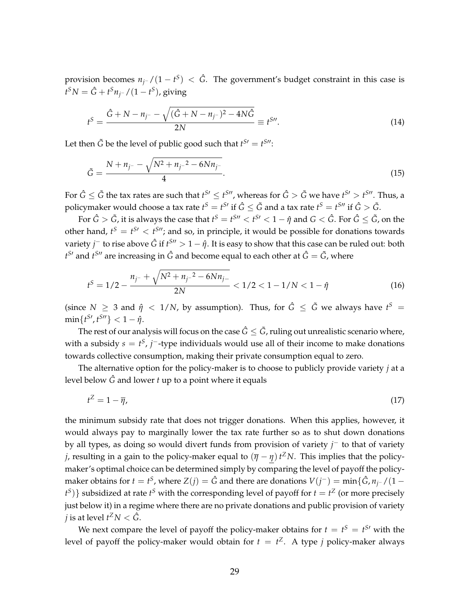provision becomes *nj*<sup>−</sup> /(1 − *t S* ) < *G*ˆ. The government's budget constraint in this case is  $t^{\mathcal{S}}N = \hat{G} + t^{\mathcal{S}}n_{j^-}/(1-t^{\mathcal{S}})$ , giving

$$
t^{S} = \frac{\hat{G} + N - n_{j^{-}} - \sqrt{(\hat{G} + N - n_{j^{-}})^{2} - 4N\hat{G}}}{2N} \equiv t^{S\prime\prime}.
$$
 (14)

Let then  $\tilde{G}$  be the level of public good such that  $t^{S'} = t^{S''}$ :

$$
\tilde{G} = \frac{N + n_{j^-} - \sqrt{N^2 + n_{j^-}^2 - 6Nn_{j^-}}}{4}.
$$
\n(15)

For  $\hat G\leq\tilde G$  the tax rates are such that  $t^{S\prime}\leq t^{S\prime\prime}$ , whereas for  $\hat G>\tilde G$  we have  $t^{S\prime}>t^{S\prime\prime}$ . Thus, a policymaker would choose a tax rate  $t^S=t^{S}$  if  $\hat G\leq \tilde G$  and a tax rate  $t^S=t^{S\prime\prime}$  if  $\hat G>\tilde G.$ 

For  $\hat G>\tilde G$ , it is always the case that  $t^S=t^{S\prime\prime}< t^{S\prime}< 1-\hat\eta$  and  $G<\hat G$ . For  $\hat G\leq \tilde G$ , on the other hand,  $t^S = t^{S}$  <  $t^{S}$ ; and so, in principle, it would be possible for donations towards variety  $j^-$  to rise above  $\hat G$  if  $t^{S\prime\prime}>1-\hat\eta.$  It is easy to show that this case can be ruled out: both  $t^{S}$ <sup>*a*</sup> and  $t^{S}$ <sup>*n*</sup> are increasing in  $\hat{G}$  and become equal to each other at  $\hat{G} = \tilde{G}$ , where

$$
t^{S} = 1/2 - \frac{n_{j^{-}} + \sqrt{N^{2} + n_{j^{-}}^{2} - 6Nn_{j^{-}}}}{2N} < 1/2 < 1 - 1/N < 1 - \hat{\eta}
$$
 (16)

(since  $N \geq 3$  and  $\hat{\eta} < 1/N$ , by assumption). Thus, for  $\hat{G} \leq \tilde{G}$  we always have  $t^S =$  $\min\{t^{S\prime}, t^{S\prime\prime}\} < 1 - \hat{\eta}.$ 

The rest of our analysis will focus on the case  $\hat{G} \leq \tilde{G}$ , ruling out unrealistic scenario where, with a subsidy  $s = t^S$ , *j*<sup>-</sup>-type individuals would use all of their income to make donations towards collective consumption, making their private consumption equal to zero.

The alternative option for the policy-maker is to choose to publicly provide variety *j* at a level below *G*ˆ and lower *t* up to a point where it equals

$$
t^Z = 1 - \overline{\eta},\tag{17}
$$

the minimum subsidy rate that does not trigger donations. When this applies, however, it would always pay to marginally lower the tax rate further so as to shut down donations by all types, as doing so would divert funds from provision of variety *j* <sup>−</sup> to that of variety *j*, resulting in a gain to the policy-maker equal to  $(\overline{\eta} - \eta) t^Z N$ . This implies that the policymaker's optimal choice can be determined simply by comparing the level of payoff the policymaker obtains for  $t = t^S$ , where  $Z(j) = \hat{G}$  and there are donations  $V(j^-) = \min\{\hat{G}, n_{j^-}/(1-\hat{G})\}$  $f<sup>S</sup>$ )} subsidized at rate  $f<sup>S</sup>$  with the corresponding level of payoff for  $t = t<sup>Z</sup>$  (or more precisely just below it) in a regime where there are no private donations and public provision of variety  $j$  is at level  $t^Z N < \hat{G}$ .

We next compare the level of payoff the policy-maker obtains for  $t = t^S = t^{S}$  with the level of payoff the policy-maker would obtain for  $t = t^Z$ . A type *j* policy-maker always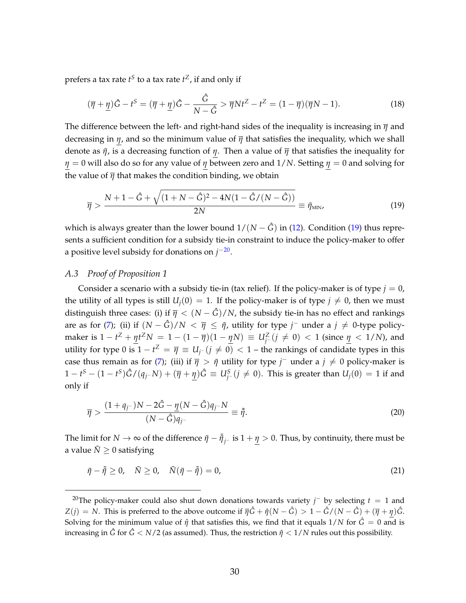prefers a tax rate  $t^S$  to a tax rate  $t^Z$ , if and only if

$$
(\overline{\eta} + \underline{\eta})\hat{G} - t^S = (\overline{\eta} + \underline{\eta})\hat{G} - \frac{\hat{G}}{N - \hat{G}} > \overline{\eta}Nt^Z - t^Z = (1 - \overline{\eta})(\overline{\eta}N - 1).
$$
 (18)

The difference between the left- and right-hand sides of the inequality is increasing in  $\bar{\eta}$  and decreasing in *η*, and so the minimum value of *η* that satisfies the inequality, which we shall denote as  $\tilde{\eta}$ , is a decreasing function of  $\eta$ . Then a value of  $\overline{\eta}$  that satisfies the inequality for *η* = 0 will also do so for any value of *η* between zero and 1/*N*. Setting *η* = 0 and solving for the value of  $\overline{\eta}$  that makes the condition binding, we obtain

<span id="page-31-0"></span>
$$
\overline{\eta} > \frac{N + 1 - \hat{G} + \sqrt{(1 + N - \hat{G})^2 - 4N(1 - \hat{G}/(N - \hat{G}))}}{2N} \equiv \tilde{\eta}_{\text{MIN}},
$$
\n(19)

which is always greater than the lower bound  $1/(N - \hat{G})$  in [\(12\)](#page-29-1). Condition [\(19\)](#page-31-0) thus represents a sufficient condition for a subsidy tie-in constraint to induce the policy-maker to offer a positive level subsidy for donations on  $j^{-20}$  $j^{-20}$  $j^{-20}$ .

# *A.3 Proof of Proposition 1*

Consider a scenario with a subsidy tie-in (tax relief). If the policy-maker is of type  $j = 0$ , the utility of all types is still  $U_i(0) = 1$ . If the policy-maker is of type  $j \neq 0$ , then we must distinguish three cases: (i) if  $\overline{\eta} < (N - \hat{G})/N$ , the subsidy tie-in has no effect and rankings are as for [\(7\)](#page-17-0); (ii) if  $(N - \hat{G})/N < \bar{\eta} \leq \tilde{\eta}$ , utility for type  $j^-$  under a  $j \neq 0$ -type policy- $\text{maker is } 1 - t^Z + \underline{\eta} t^Z N = 1 - (1 - \overline{\eta})(1 - \underline{\eta}N) \equiv U^Z_{\overline{j}^-}(j \neq 0) < 1 \text{ (since } \underline{\eta} < 1/N\text{), and}$ utility for type 0 is  $1 - t^Z = \overline{\eta} \equiv U_j$ − $(j \neq 0) < 1$  – the rankings of candidate types in this case thus remain as for [\(7\)](#page-17-0); (iii) if  $\bar{\eta} > \tilde{\eta}$  utility for type *j*<sup>-</sup> under a  $j \neq 0$  policy-maker is  $1-t^S-(1-t^S)\hat G/(\mathfrak{q}_jNN)+(\overline{\eta}+\underline{\eta})\hat G\equiv \mathcal U_j^S\ (\ j\neq 0).$  This is greater than  $U_j(0)=1$  if and only if

$$
\overline{\eta} > \frac{(1+q_{j-})N - 2\hat{G} - \underline{\eta}(N-\hat{G})q_{j-N}}{(N-\hat{G})q_{j-}} \equiv \tilde{\eta}.
$$
\n(20)

The limit for  $N\to\infty$  of the difference  $\tilde\eta-\tilde{\tilde\eta}_j$ − is  $1+\underline\eta>0.$  Thus, by continuity, there must be a value  $\tilde{N} \geq 0$  satisfying

$$
\tilde{\eta} - \tilde{\tilde{\eta}} \ge 0, \quad \tilde{N} \ge 0, \quad \tilde{N}(\tilde{\eta} - \tilde{\tilde{\eta}}) = 0,
$$
\n(21)

<span id="page-31-1"></span><sup>&</sup>lt;sup>20</sup>The policy-maker could also shut down donations towards variety *j*<sup>-</sup> by selecting  $t = 1$  and *Z*(*j*) = *N*. This is preferred to the above outcome if  $\overline{\eta} \hat{G} + \hat{\eta} (N - \hat{G}) > 1 - \hat{G} / (N - \hat{G}) + (\overline{\eta} + \eta) \hat{G}$ . Solving for the minimum value of  $\hat{\eta}$  that satisfies this, we find that it equals  $1/N$  for  $\hat{G} = 0$  and is increasing in  $\hat{G}$  for  $\hat{G}$  <  $N/2$  (as assumed). Thus, the restriction  $\hat{\eta}$  <  $1/N$  rules out this possibility.